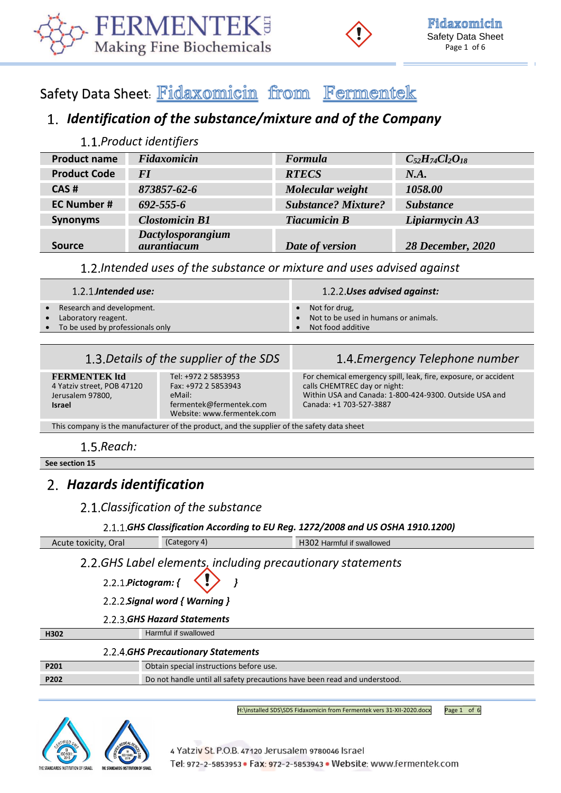



# Safety Data Sheet: Fidaxomicin from Fermentek

# *Identification of the substance/mixture and of the Company*

### *Product identifiers*

| <b>Product name</b> | Fidaxomicin                      | Formula                    | $C_{52}H_{74}Cl_{2}O_{18}$ |
|---------------------|----------------------------------|----------------------------|----------------------------|
| <b>Product Code</b> | <i>FI</i>                        | <b>RTECS</b>               | N.A.                       |
| CAS#                | 873857-62-6                      | Molecular weight           | 1058.00                    |
| <b>EC Number #</b>  | $692 - 555 - 6$                  | <b>Substance? Mixture?</b> | <b>Substance</b>           |
| <b>Synonyms</b>     | <b>Clostomicin B1</b>            | <b>Tiacumicin B</b>        | Lipiarmycin A3             |
| <b>Source</b>       | Dactylosporangium<br>aurantiacum | Date of version            | <b>28 December, 2020</b>   |

### *Intended uses of the substance or mixture and uses advised against*

| $1.2.1$ Intended use:                                                                                 | 1.2.2 Uses advised against:                                                              |
|-------------------------------------------------------------------------------------------------------|------------------------------------------------------------------------------------------|
| Research and development.<br>$\bullet$<br>• Laboratory reagent.<br>• To be used by professionals only | $\bullet$ Not for drug,<br>• Not to be used in humans or animals.<br>• Not food additive |

# *Details of the supplier of the SDS Emergency Telephone number*

**FERMENTEK ltd** 4 Yatziv street, POB 47120 Jerusalem 97800, **Israel** 

Tel: +972 2 5853953 Fax: +972 2 5853943 eMail: fermentek@fermentek.com Website[: www.fermentek.com](http://www.fermentek.com/)

For chemical emergency spill, leak, fire, exposure, or accident calls CHEMTREC day or night: Within USA and Canada: 1-800-424-9300. Outside USA and Canada: +1 703-527-3887

This company is the manufacturer of the product, and the supplier of the safety data sheet

1.5.*Reach:* 

**See section 15**

# *Hazards identification*

### *Classification of the substance*

#### *GHS Classification According to EU Reg. 1272/2008 and US OSHA 1910.1200)*

| Acute toxicity, Oral                       | (Category 4)                                                | H302 Harmful if swallowed |
|--------------------------------------------|-------------------------------------------------------------|---------------------------|
| 2.2.1.Pictogram: { $\langle \cdot \rangle$ | 2.2. GHS Label elements, including precautionary statements |                           |

*Signal word { Warning }*

#### *GHS Hazard Statements*

**H302** Harmful if swallowed

|      | 2.2.4 GHS Precautionary Statements                                        |
|------|---------------------------------------------------------------------------|
| P201 | Obtain special instructions before use.                                   |
| P202 | Do not handle until all safety precautions have been read and understood. |
|      |                                                                           |

H:\installed SDS\SDS Fidaxomicin from Fermentek vers 31-XII-2020.docx Page 1 of 6



4 Yatziv St. P.O.B. 47120 Jerusalem 9780046 Israel Tel: 972-2-5853953 · Fax: 972-2-5853943 · Website: www.fermentek.com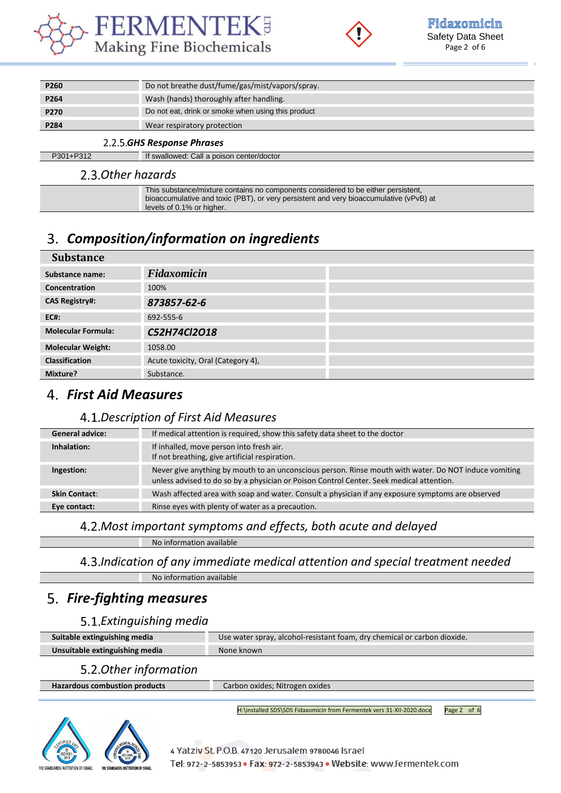



| 225  |                                                    |
|------|----------------------------------------------------|
| P284 | Wear respiratory protection                        |
| P270 | Do not eat, drink or smoke when using this product |
| P264 | Wash {hands} thoroughly after handling.            |
| P260 | Do not breathe dust/fume/gas/mist/vapors/spray.    |
|      |                                                    |

#### *GHS Response Phrases*

P301+P312 If swallowed: Call a poison center/doctor

# 2.3. Other hazards

| This substance/mixture contains no components considered to be either persistent,      |
|----------------------------------------------------------------------------------------|
| bioaccumulative and toxic (PBT), or very persistent and very bioaccumulative (vPvB) at |
| levels of 0.1% or higher.                                                              |

# *Composition/information on ingredients*

| <b>Substance</b>          |                                    |  |
|---------------------------|------------------------------------|--|
| Substance name:           | Fidaxomicin                        |  |
| <b>Concentration</b>      | 100%                               |  |
| <b>CAS Registry#:</b>     | 873857-62-6                        |  |
| <b>EC#:</b>               | 692-555-6                          |  |
| <b>Molecular Formula:</b> | C52H74Cl2O18                       |  |
| <b>Molecular Weight:</b>  | 1058.00                            |  |
| <b>Classification</b>     | Acute toxicity, Oral (Category 4), |  |
| Mixture?                  | Substance.                         |  |

# *First Aid Measures*

### *Description of First Aid Measures*

| <b>General advice:</b> | If medical attention is required, show this safety data sheet to the doctor                                                                                                                       |
|------------------------|---------------------------------------------------------------------------------------------------------------------------------------------------------------------------------------------------|
| Inhalation:            | If inhalled, move person into fresh air.<br>If not breathing, give artificial respiration.                                                                                                        |
| Ingestion:             | Never give anything by mouth to an unconscious person. Rinse mouth with water. Do NOT induce vomiting<br>unless advised to do so by a physician or Poison Control Center. Seek medical attention. |
| <b>Skin Contact:</b>   | Wash affected area with soap and water. Consult a physician if any exposure symptoms are observed                                                                                                 |
| Eye contact:           | Rinse eyes with plenty of water as a precaution.                                                                                                                                                  |

# *Most important symptoms and effects, both acute and delayed*

No information available

### *Indication of any immediate medical attention and special treatment needed*

No information available

# *Fire-fighting measures*

### *Extinguishing media*

| Suitable extinguishing media   | Use water spray, alcohol-resistant foam, dry chemical or carbon dioxide. |
|--------------------------------|--------------------------------------------------------------------------|
| Unsuitable extinguishing media | None known                                                               |

### *Other information*

| <b>Hazardous combustion products</b> | Carbon oxides; Nitrogen oxides |
|--------------------------------------|--------------------------------|
|                                      |                                |

H:\installed SDS\SDS Fidaxomicin from Fermentek vers 31-XII-2020.docx Page 2 of 6

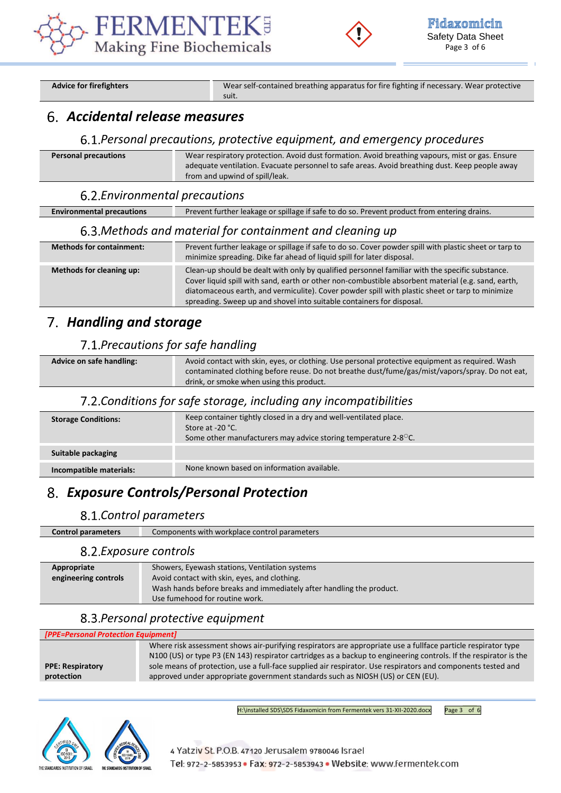



Advice for firefighters **Wear self-contained breathing apparatus for fire fighting if necessary. Wear protective** 

# *Accidental release measures*

#### *Personal precautions, protective equipment, and emergency procedures*

| <b>Personal precautions</b> | Wear respiratory protection. Avoid dust formation. Avoid breathing vapours, mist or gas. Ensure |
|-----------------------------|-------------------------------------------------------------------------------------------------|
|                             | adequate ventilation. Evacuate personnel to safe areas. Avoid breathing dust. Keep people away  |
|                             | from and upwind of spill/leak.                                                                  |

#### *Environmental precautions*

**Environmental precautions** Prevent further leakage or spillage if safe to do so. Prevent product from entering drains.

#### *Methods and material for containment and cleaning up*

suit.

| <b>Methods for containment:</b> | Prevent further leakage or spillage if safe to do so. Cover powder spill with plastic sheet or tarp to<br>minimize spreading. Dike far ahead of liquid spill for later disposal.                                                                                                                                                                                                  |
|---------------------------------|-----------------------------------------------------------------------------------------------------------------------------------------------------------------------------------------------------------------------------------------------------------------------------------------------------------------------------------------------------------------------------------|
| Methods for cleaning up:        | Clean-up should be dealt with only by qualified personnel familiar with the specific substance.<br>Cover liquid spill with sand, earth or other non-combustible absorbent material (e.g. sand, earth,<br>diatomaceous earth, and vermiculite). Cover powder spill with plastic sheet or tarp to minimize<br>spreading. Sweep up and shovel into suitable containers for disposal. |

# *Handling and storage*

### *Precautions for safe handling*

| Advice on safe handling: | Avoid contact with skin, eyes, or clothing. Use personal protective equipment as required. Wash |
|--------------------------|-------------------------------------------------------------------------------------------------|
|                          | contaminated clothing before reuse. Do not breathe dust/fume/gas/mist/vapors/spray. Do not eat, |
|                          | drink, or smoke when using this product.                                                        |

### *Conditions for safe storage, including any incompatibilities*

| <b>Storage Conditions:</b> | Keep container tightly closed in a dry and well-ventilated place.<br>Store at -20 °C.<br>Some other manufacturers may advice storing temperature $2-8^\circ$ C. |
|----------------------------|-----------------------------------------------------------------------------------------------------------------------------------------------------------------|
| Suitable packaging         |                                                                                                                                                                 |
| Incompatible materials:    | None known based on information available.                                                                                                                      |

# *Exposure Controls/Personal Protection*

#### *Control parameters*

| <b>Control parameters</b> | Components with workplace control parameters |  |
|---------------------------|----------------------------------------------|--|
| 8.2. Exposure controls    |                                              |  |

| Appropriate          | Showers, Eyewash stations, Ventilation systems                       |
|----------------------|----------------------------------------------------------------------|
|                      |                                                                      |
| engineering controls | Avoid contact with skin, eyes, and clothing.                         |
|                      | Wash hands before breaks and immediately after handling the product. |
|                      | Use fumehood for routine work.                                       |
|                      |                                                                      |

### *Personal protective equipment*

| [PPE=Personal Protection Equipment]   |                                                                                                                                                                                                                                    |
|---------------------------------------|------------------------------------------------------------------------------------------------------------------------------------------------------------------------------------------------------------------------------------|
|                                       | Where risk assessment shows air-purifying respirators are appropriate use a fullface particle respirator type<br>N100 (US) or type P3 (EN 143) respirator cartridges as a backup to engineering controls. If the respirator is the |
| <b>PPE: Respiratory</b><br>protection | sole means of protection, use a full-face supplied air respirator. Use respirators and components tested and<br>approved under appropriate government standards such as NIOSH (US) or CEN (EU).                                    |
|                                       |                                                                                                                                                                                                                                    |

H:\installed SDS\SDS Fidaxomicin from Fermentek vers 31-XII-2020.docx Page 3 of 6



4 Yatziv St. P.O.B. 47120 Jerusalem 9780046 Israel Tel: 972-2-5853953 · Fax: 972-2-5853943 · Website: www.fermentek.com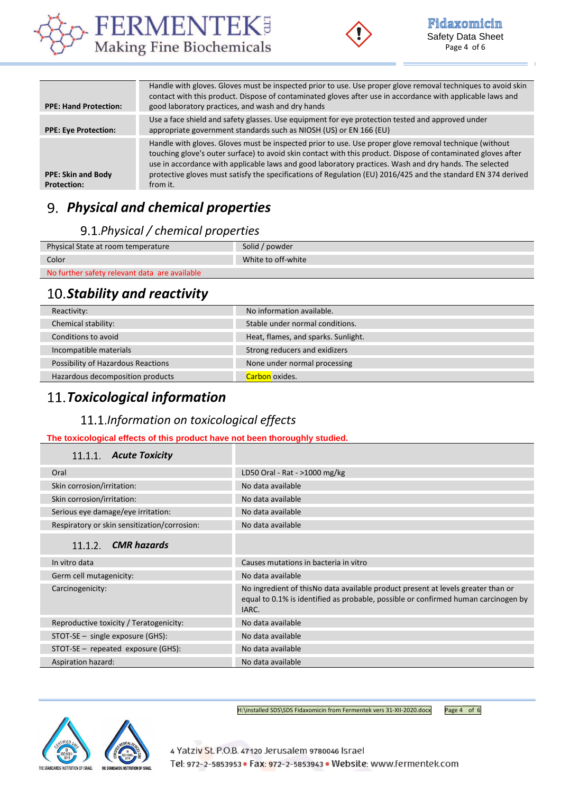



| <b>PPE: Hand Protection:</b>                    | Handle with gloves. Gloves must be inspected prior to use. Use proper glove removal techniques to avoid skin<br>contact with this product. Dispose of contaminated gloves after use in accordance with applicable laws and<br>good laboratory practices, and wash and dry hands                                                                                                                                                                                |
|-------------------------------------------------|----------------------------------------------------------------------------------------------------------------------------------------------------------------------------------------------------------------------------------------------------------------------------------------------------------------------------------------------------------------------------------------------------------------------------------------------------------------|
| <b>PPE: Eye Protection:</b>                     | Use a face shield and safety glasses. Use equipment for eye protection tested and approved under<br>appropriate government standards such as NIOSH (US) or EN 166 (EU)                                                                                                                                                                                                                                                                                         |
| <b>PPE: Skin and Body</b><br><b>Protection:</b> | Handle with gloves. Gloves must be inspected prior to use. Use proper glove removal technique (without<br>touching glove's outer surface) to avoid skin contact with this product. Dispose of contaminated gloves after<br>use in accordance with applicable laws and good laboratory practices. Wash and dry hands. The selected<br>protective gloves must satisfy the specifications of Regulation (EU) 2016/425 and the standard EN 374 derived<br>from it. |

# *Physical and chemical properties*

# *Physical / chemical properties*

| Physical State at room temperature            | Solid / powder     |
|-----------------------------------------------|--------------------|
| Color                                         | White to off-white |
| No further safety relevant data are available |                    |

# 10. Stability and reactivity

|                                    | No information available.           |
|------------------------------------|-------------------------------------|
| Chemical stability:                | Stable under normal conditions.     |
| Conditions to avoid                | Heat, flames, and sparks. Sunlight. |
| Incompatible materials             | Strong reducers and exidizers       |
| Possibility of Hazardous Reactions | None under normal processing        |
| Hazardous decomposition products   | Carbon oxides.                      |
|                                    |                                     |

# *Toxicological information*

# *Information on toxicological effects*

#### **The toxicological effects of this product have not been thoroughly studied.**

| 11.1.1. Acute Toxicity                       |                                                                                                                                                                                  |
|----------------------------------------------|----------------------------------------------------------------------------------------------------------------------------------------------------------------------------------|
| Oral                                         | LD50 Oral - Rat - >1000 mg/kg                                                                                                                                                    |
| Skin corrosion/irritation:                   | No data available                                                                                                                                                                |
| Skin corrosion/irritation:                   | No data available                                                                                                                                                                |
| Serious eye damage/eye irritation:           | No data available                                                                                                                                                                |
| Respiratory or skin sensitization/corrosion: | No data available                                                                                                                                                                |
| $11.1.2$ CMR hazards                         |                                                                                                                                                                                  |
| In vitro data                                | Causes mutations in bacteria in vitro                                                                                                                                            |
| Germ cell mutagenicity:                      | No data available                                                                                                                                                                |
| Carcinogenicity:                             | No ingredient of this No data available product present at levels greater than or<br>equal to 0.1% is identified as probable, possible or confirmed human carcinogen by<br>IARC. |
| Reproductive toxicity / Teratogenicity:      | No data available                                                                                                                                                                |
| $STOT-SE$ – single exposure (GHS):           | No data available                                                                                                                                                                |
| STOT-SE - repeated exposure (GHS):           | No data available                                                                                                                                                                |
| <b>Aspiration hazard:</b>                    | No data available                                                                                                                                                                |



H:\installed SDS\SDS Fidaxomicin from Fermentek vers 31-XII-2020.docx Page 4 of 6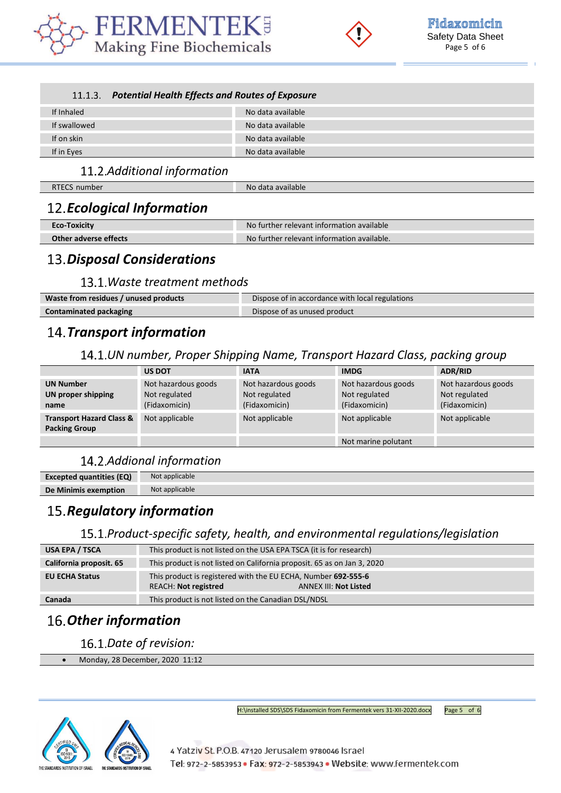



#### *Potential Health Effects and Routes of Exposure*

| If Inhaled   | No data available |
|--------------|-------------------|
| If swallowed | No data available |
| If on skin   | No data available |
| If in Eyes   | No data available |

# *Additional information*

RTECS number No data available

# *Ecological Information*

| <b>Eco-Toxicity</b>   | No further relevant information available  |
|-----------------------|--------------------------------------------|
| Other adverse effects | No further relevant information available. |

# *Disposal Considerations*

#### *Waste treatment methods*

| Waste from residues / unused products | Dispose of in accordance with local regulations |
|---------------------------------------|-------------------------------------------------|
| <b>Contaminated packaging</b>         | Dispose of as unused product                    |

# *Transport information*

### *UN number, Proper Shipping Name, Transport Hazard Class, packing group*

|                                                             | <b>US DOT</b>                                         | <b>IATA</b>                                           | <b>IMDG</b>                                           | <b>ADR/RID</b>                                        |
|-------------------------------------------------------------|-------------------------------------------------------|-------------------------------------------------------|-------------------------------------------------------|-------------------------------------------------------|
| <b>UN Number</b><br><b>UN proper shipping</b><br>name       | Not hazardous goods<br>Not regulated<br>(Fidaxomicin) | Not hazardous goods<br>Not regulated<br>(Fidaxomicin) | Not hazardous goods<br>Not regulated<br>(Fidaxomicin) | Not hazardous goods<br>Not regulated<br>(Fidaxomicin) |
| <b>Transport Hazard Class &amp;</b><br><b>Packing Group</b> | Not applicable                                        | Not applicable                                        | Not applicable                                        | Not applicable                                        |
|                                                             |                                                       |                                                       | Not marine polutant                                   |                                                       |

# *Addional information*

| <b>Excepted quantities (EQ)</b> | Not applicable |
|---------------------------------|----------------|
| De Minimis exemption            | Not applicable |
|                                 |                |

# 15. Regulatory information

### *Product-specific safety, health, and environmental regulations/legislation*

| USA EPA / TSCA          | This product is not listed on the USA EPA TSCA (it is for research)                                                          |  |  |
|-------------------------|------------------------------------------------------------------------------------------------------------------------------|--|--|
| California proposit. 65 | This product is not listed on California proposit. 65 as on Jan 3, 2020                                                      |  |  |
| <b>EU ECHA Status</b>   | This product is registered with the EU ECHA, Number 692-555-6<br><b>REACH: Not registred</b><br><b>ANNEX III: Not Listed</b> |  |  |
| Canada                  | This product is not listed on the Canadian DSL/NDSL                                                                          |  |  |

# *Other information*

16.1.Date of revision:

• Monday, 28 December, 2020 11:12